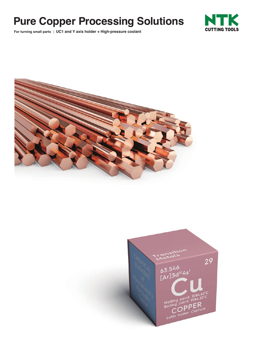# **Pure Copper Processing Solutions**

**For turning small parts** | **UC1 and Y axis holder + High-pressure coolant**





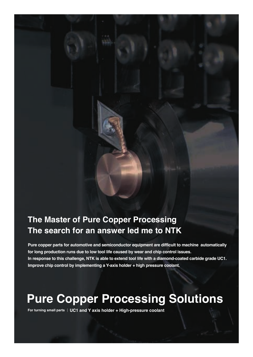## **The Master of Pure Copper Processing The search for an answer led me to NTK**

**Pure copper parts for automotive and semiconductor equipment are difficult to machine automatically for long production runs due to low tool life caused by wear and chip control issues. In response to this challenge, NTK is able to extend tool life with a diamond-coated carbide grade UC1. Improve chip control by implementing a Y-axis holder + high pressure coolant.**

# **Pure Copper Processing Solutions**

**For turning small parts** | **UC1 and Y axis holder + High-pressure coolant**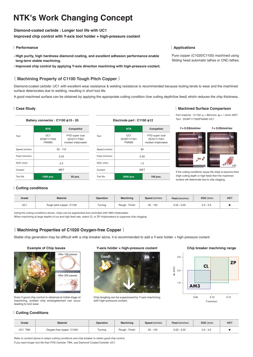## **NTK's Work Changing Concept**

### **Diamond-coated carbide : Longer tool life with UC1**

**Improved chip control with Y-axis tool holder + high-pressure coolant**

### | **Performance**

- **● High purity, high hardness diamond coating, and excellent adhesion performance enable long-term stable machining.**
- **● Improved chip control by applying Y-axis direction machining with high-pressure coolant.**

### 〔 **Machining Property of C1100 Tough Pitch Copper** 〕

Diamond-coated carbide: UC1 with excellent wear resistance & welding resistance is recommended because tooling tends to wear and the machined surface deteriorates due to welding, resulting in short tool life.

A good machined surface can be obtained by applying the appropriate cutting condition (low cutting depth/low feed) which reduces the chip thickness.

### | **Case Study**



### **Electrode part : C1100 φ12**

| <b>NTK</b>                 | Competitor                                         |  |  |  |  |
|----------------------------|----------------------------------------------------|--|--|--|--|
| UC1<br>DCMT11T301<br>FNAM3 | PVD super coat<br>DCGT11T301<br>molded chipbreaker |  |  |  |  |
| 80                         |                                                    |  |  |  |  |
| 0.05                       |                                                    |  |  |  |  |
| 1.0                        |                                                    |  |  |  |  |
| WET                        |                                                    |  |  |  |  |
| 2000 pcs.                  | 100 pcs.                                           |  |  |  |  |
|                            |                                                    |  |  |  |  |

### | **Machined Surface Comparison**

Part material : C1100 *v<sub>c</sub>* = 80m/min *a<sub>c</sub>* = 1.0mm WET Tool : DCMT11T302FNAM3 UC1



If the cutting conditions cause the chips to become thick (high cutting depth or high feed) then the machined surface will deteriorate due to chip clogging.

### | **Cutting conditions**

| Grade                  | <b>Material</b>          | Operation | Machining      | Speed (m/min) | Feed (mm/rev) | DOC (mm)    | <b>WET</b> |
|------------------------|--------------------------|-----------|----------------|---------------|---------------|-------------|------------|
| 10 <sup>4</sup><br>∪∪⊺ | Tough pitch copper C1100 | Turning   | Rough - Finish | $50 - 150$    | $0.02 - 0.05$ | $0.2 - 2.0$ |            |

Using the cutting conditions shown, chips can be segmented and controlled with AM3 chipbreaker.

When machining at large depths of cut and high feed rate, select CL or ZP chipbreakers to suppress chip clogging.

### 〔 **Machining Properties of C1020 Oxygen-free Copper** 〕

Stable chip generation may be difficult with a chip breaker alone, it is recommended to add a Y-axis holder + high pressure coolant



### Even if good chip control is obtained at initial stage of machining, sudden chip entangelement can occur leading to tool wear.

### **Example of Chip Issues Y-axis holder + high-pressure coolant Chip breaker machining range**



Chip tangling can be suppressed by Y-axis machining with high-pressure coolant.



### | **Cutting Conditions**

| Grade      | <b>Material</b>          | Operation | <b>Machining</b> | Speed (m/min) | Feed (mm/rev) | DOC (mm)    | <b>WET</b> |
|------------|--------------------------|-----------|------------------|---------------|---------------|-------------|------------|
| UC1<br>TM4 | Oxygen-free copper C1020 | Turning   | Rough<br>Finish  | $50 - 150$    | $0.02 - 0.20$ | $0.5 - 3.0$ |            |

Refer to content above to select cutting conditions and chip breaker to obtain good chip control. If you want longer tool life than PVD Carbide: TM4, use Diamond-Coated Carbide: UC1.

### | **Applications**

Pure copper (C1020/C1100) machined using Sliding head automatic lathes or CNC-lathes.